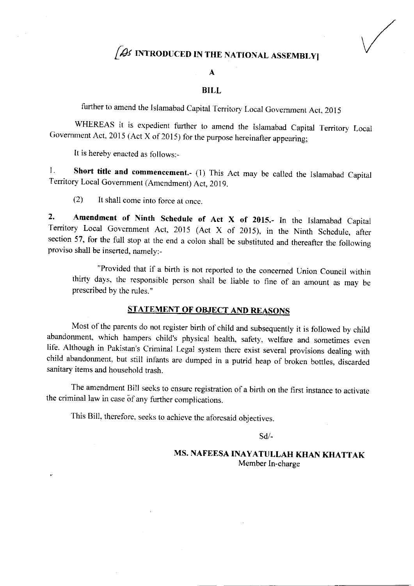# $f$ Qs introduced in the national assembly

#### A

#### BILL

further to amend the Islamabad Capital Territory Local Government Act, 2015

WHEREAS it is expedient further to amend the Islamabad Capital Territory Local Government Act, 2015 (Act X of 2015) for the purpose hereinafter appearing;

It is hereby enacted as follows:-

1. Short title and commencement.- (1) This Act may be called the Islamabad Capital Territory Local Government (Amendment) Act, 2019.

(2) lt shall come into force at once.

2. Amendment of Ninth Schedule of Act X of 2015.- In the Islamabad Capital Territory Local Govemment Act. 2015 (Act X of 2015), in the Ninth Schedure, after section 57, for the full stop at the end a colon shall be substituted and thereafter the following proviso shall be inserted, namely:-

"Provided that if a birth is not reported to the concemed Union Council within thirty days, the responsible person shall be liable to fine of an amount as mav be prescribed by the rules."

### STATEMENT OF OBJECT AND REASONS

Most of the parents do not register birth of child and subsequently it is followed by child abandonment, which hampers child's physical health, safety. welfare and sometimes even life. Although in Pakistan's Criminal Legal system there exist several provisions dealing with child abandonment, but still infants are dumped in a putrid heap of broken bottles, discarded sanitary items and household trash.

The amendment Bill seeks to ensure registration of a birth on the first instance to activate the criminal law in case of any further complications.

This Bill, therefore. seeks to achieve the aforesaid objectives.

sd/-

MS. NAFEESA INAYATULLAH KHAN KHATTAK Member In-charge